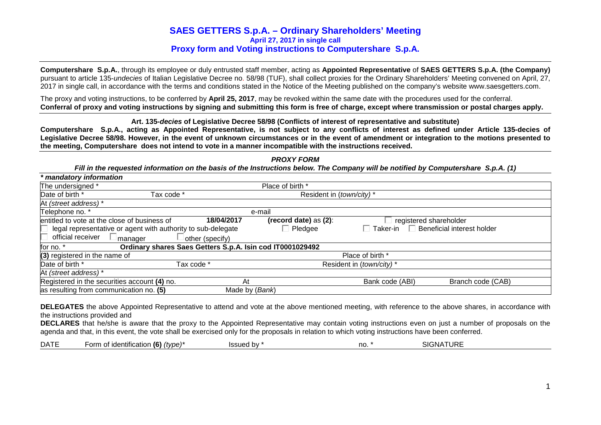# **SAES GETTERS S.p.A. – Ordinary Shareholders' Meeting April 27, 2017 in single call Proxy form and Voting instructions to Computershare S.p.A.**

**Computershare S.p.A.**, through its employee or duly entrusted staff member, acting as **Appointed Representative** of **SAES GETTERS S.p.A. (the Company)**pursuant to article 135-*undecies* of Italian Legislative Decree no. 58/98 (TUF), shall collect proxies for the Ordinary Shareholders' Meeting convened on April, 27, 2017 in single call, in accordance with the terms and conditions stated in the Notice of the Meeting published on the company's website www.saesgetters.com.

The proxy and voting instructions, to be conferred by **April 25, 2017**, may be revoked within the same date with the procedures used for the conferral. **Conferral of proxy and voting instructions by signing and submitting this form is free of charge, except where transmission or postal charges apply.**

## **Art. 135-decies of Legislative Decree 58/98 (Conflicts of interest of representative and substitute)**

 **Computershare S.p.A., acting as Appointed Representative, is not subject to any conflicts of interest as defined under Article 135-decies of Legislative Decree 58/98. However, in the event of unknown circumstances or in the event of amendment or integration to the motions presented to the meeting, Computershare does not intend to vote in a manner incompatible with the instructions received.** 

| * mandatory information                                                                                          |                 |                  |                                   |                                   |
|------------------------------------------------------------------------------------------------------------------|-----------------|------------------|-----------------------------------|-----------------------------------|
| The undersigned *                                                                                                |                 | Place of birth * |                                   |                                   |
| Date of birth *<br>Tax code *<br>Resident in (town/city)*                                                        |                 |                  |                                   |                                   |
| At (street address) *                                                                                            |                 |                  |                                   |                                   |
| Telephone no. *                                                                                                  |                 | e-mail           |                                   |                                   |
| entitled to vote at the close of business of<br>18/04/2017<br>(record date) as $(2)$ :<br>registered shareholder |                 |                  |                                   |                                   |
| legal representative or agent with authority to sub-delegate                                                     |                 | Pledgee          | $\overline{\phantom{x}}$ Taker-in | $\Box$ Beneficial interest holder |
| official receiver<br>$\Box$ manager                                                                              | other (specify) |                  |                                   |                                   |
| Ordinary shares Saes Getters S.p.A. Isin cod IT0001029492<br>for no. *                                           |                 |                  |                                   |                                   |
| (3) registered in the name of                                                                                    |                 |                  | Place of birth *                  |                                   |
| Date of birth *                                                                                                  | Tax code *      |                  | Resident in (town/city)*          |                                   |
| At (street address) *                                                                                            |                 |                  |                                   |                                   |
| Registered in the securities account (4) no.                                                                     | At              |                  | Bank code (ABI)                   | Branch code (CAB)                 |
| as resulting from communication no. (5)                                                                          | Made by (Bank)  |                  |                                   |                                   |

**DELEGATES** the above Appointed Representative to attend and vote at the above mentioned meeting, with reference to the above shares, in accordance with

the instructions provided and **DECLARES** that he/she is aware that the proxy to the Appointed Representative may contain voting instructions even on just a number of proposals on the agenda and that, in this event, the vote shall be exercised only for the proposals in relation to which voting instructions have been conferred.

| $\mathbf{r}$<br>DAIL | $\cdot$ .<br>(6)<br>-orr<br>(type)<br><b>identification</b><br>от | 1001.<br>.<br>ഥി<br>nv. | no. | . . <b>. .</b><br>$\cdot$ . $\epsilon$<br>∴−N∴<br>UNL |
|----------------------|-------------------------------------------------------------------|-------------------------|-----|-------------------------------------------------------|
|                      |                                                                   |                         |     |                                                       |

## **PROXY FORM**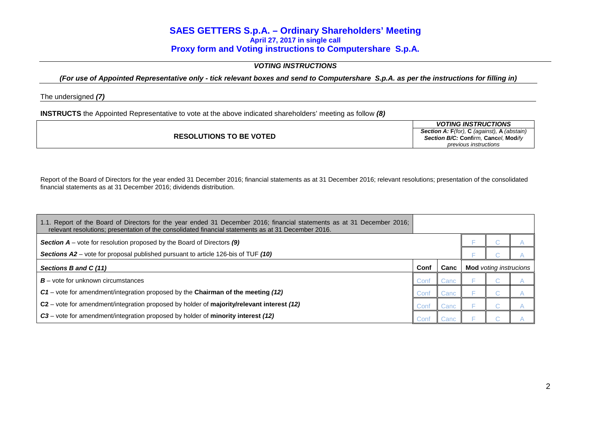# **SAES GETTERS S.p.A. – Ordinary Shareholders' Meeting April 27, 2017 in single call Proxy form and Voting instructions to Computershare S.p.A.**

## **VOTING INSTRUCTIONS**

**(For use of Appointed Representative only - tick relevant boxes and send to Computershare S.p.A. as per the instructions for filling in)** 

The undersigned **(7)**

**INSTRUCTS** the Appointed Representative to vote at the above indicated shareholders' meeting as follow **(8)**

|                                | <b>VOTING INSTRUCTIONS</b>                                        |
|--------------------------------|-------------------------------------------------------------------|
|                                | <b>Section A: F</b> (for), <b>C</b> (against), <b>A</b> (abstain) |
| <b>RESOLUTIONS TO BE VOTED</b> | Section B/C: Confirm. Cancel. Modify                              |
|                                | <i>previous instructions</i>                                      |

Report of the Board of Directors for the year ended 31 December 2016; financial statements as at 31 December 2016; relevant resolutions; presentation of the consolidated financial statements as at 31 December 2016; dividends distribution.

| 1.1. Report of the Board of Directors for the year ended 31 December 2016; financial statements as at 31 December 2016;<br>relevant resolutions; presentation of the consolidated financial statements as at 31 December 2016. |      |      |                               |  |
|--------------------------------------------------------------------------------------------------------------------------------------------------------------------------------------------------------------------------------|------|------|-------------------------------|--|
| <b>Section A</b> – vote for resolution proposed by the Board of Directors $(9)$                                                                                                                                                |      |      |                               |  |
| Sections A2 – vote for proposal published pursuant to article 126-bis of TUF (10)                                                                                                                                              |      |      |                               |  |
| Sections B and C (11)                                                                                                                                                                                                          | Conf | Canc | <b>Mod</b> voting instrucions |  |
| $B$ – vote for unknown circumstances                                                                                                                                                                                           | Conf | Canc |                               |  |
| C1 - vote for amendment/integration proposed by the Chairman of the meeting (12)                                                                                                                                               | Conf | Canc |                               |  |
| C2 – vote for amendment/integration proposed by holder of majority/relevant interest (12)                                                                                                                                      | Conf | Canc |                               |  |
| C3 – vote for amendment/integration proposed by holder of minority interest (12)                                                                                                                                               | Conf | Canc |                               |  |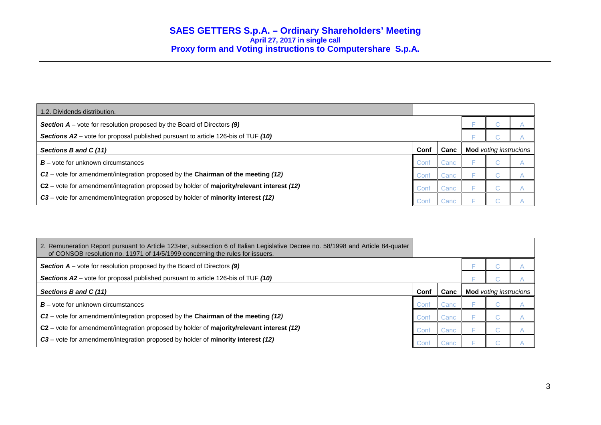| 1.2. Dividends distribution.                                                              |      |      |                               |  |
|-------------------------------------------------------------------------------------------|------|------|-------------------------------|--|
| <b>Section A</b> – vote for resolution proposed by the Board of Directors $(9)$           |      |      |                               |  |
| Sections A2 – vote for proposal published pursuant to article 126-bis of TUF (10)         |      |      |                               |  |
| Sections B and C (11)                                                                     | Conf | Canc | <b>Mod</b> voting instrucions |  |
| $B$ – vote for unknown circumstances                                                      | Conf | Canc | U                             |  |
| $C1$ – vote for amendment/integration proposed by the Chairman of the meeting (12)        | Conf | Canc |                               |  |
| C2 - vote for amendment/integration proposed by holder of majority/relevant interest (12) | Conf | Canc |                               |  |
| C3 – vote for amendment/integration proposed by holder of minority interest (12)          | Conf | Canc |                               |  |

| 2. Remuneration Report pursuant to Article 123-ter, subsection 6 of Italian Legislative Decree no. 58/1998 and Article 84-quater<br>of CONSOB resolution no. 11971 of 14/5/1999 concerning the rules for issuers. |      |      |                               |  |  |
|-------------------------------------------------------------------------------------------------------------------------------------------------------------------------------------------------------------------|------|------|-------------------------------|--|--|
| <b>Section A</b> – vote for resolution proposed by the Board of Directors $(9)$                                                                                                                                   |      |      |                               |  |  |
| Sections A2 – vote for proposal published pursuant to article 126-bis of TUF (10)                                                                                                                                 |      |      |                               |  |  |
| Sections B and C (11)                                                                                                                                                                                             | Conf | Canc | <b>Mod</b> voting instrucions |  |  |
| $B$ – vote for unknown circumstances                                                                                                                                                                              | Conf | Canc |                               |  |  |
| C1 – vote for amendment/integration proposed by the Chairman of the meeting (12)                                                                                                                                  | Conf | Canc |                               |  |  |
| C2 - vote for amendment/integration proposed by holder of majority/relevant interest (12)                                                                                                                         | Conf | Canc |                               |  |  |
| C3 - vote for amendment/integration proposed by holder of minority interest (12)                                                                                                                                  | Conf | Canc |                               |  |  |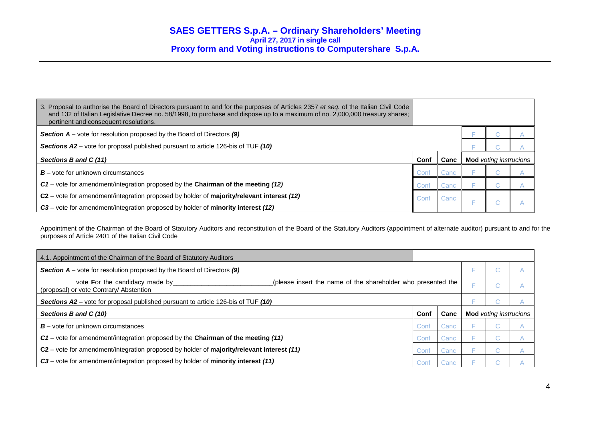| 3. Proposal to authorise the Board of Directors pursuant to and for the purposes of Articles 2357 et seq. of the Italian Civil Code<br>and 132 of Italian Legislative Decree no. 58/1998, to purchase and dispose up to a maximum of no. 2,000,000 treasury shares;<br>pertinent and consequent resolutions. |      |      |                               |  |
|--------------------------------------------------------------------------------------------------------------------------------------------------------------------------------------------------------------------------------------------------------------------------------------------------------------|------|------|-------------------------------|--|
| <b>Section A</b> – vote for resolution proposed by the Board of Directors $(9)$                                                                                                                                                                                                                              |      |      |                               |  |
| Sections A2 – vote for proposal published pursuant to article 126-bis of TUF (10)                                                                                                                                                                                                                            |      |      |                               |  |
| Sections B and C (11)                                                                                                                                                                                                                                                                                        | Conf | Canc | <b>Mod</b> voting instrucions |  |
|                                                                                                                                                                                                                                                                                                              |      |      |                               |  |
| $B$ – vote for unknown circumstances                                                                                                                                                                                                                                                                         | Conf | Canc |                               |  |
| $C1$ – vote for amendment/integration proposed by the Chairman of the meeting (12)                                                                                                                                                                                                                           | Conf | Canc |                               |  |
| $C2$ – vote for amendment/integration proposed by holder of majority/relevant interest (12)                                                                                                                                                                                                                  | Conf | Canc |                               |  |

Appointment of the Chairman of the Board of Statutory Auditors and reconstitution of the Board of the Statutory Auditors (appointment of alternate auditor) pursuant to and for the purposes of Article 2401 of the Italian Civil Code

| 4.1. Appointment of the Chairman of the Board of Statutory Auditors                                                                       |      |      |   |                               |   |
|-------------------------------------------------------------------------------------------------------------------------------------------|------|------|---|-------------------------------|---|
| <b>Section <math>A</math></b> – vote for resolution proposed by the Board of Directors (9)                                                |      |      |   |                               |   |
| vote For the candidacy made by<br>(please insert the name of the shareholder who presented the<br>(proposal) or vote Contrary/ Abstention |      |      |   | o a                           | Α |
| <b>Sections A2</b> – vote for proposal published pursuant to article 126-bis of TUF (10)                                                  |      |      |   |                               |   |
| Sections B and C (10)                                                                                                                     | Conf | Canc |   | <b>Mod</b> voting instrucions |   |
| $B$ – vote for unknown circumstances                                                                                                      | Conf | Canc |   |                               |   |
| $C1$ – vote for amendment/integration proposed by the Chairman of the meeting (11)                                                        | Conf | Canc | E | o.                            | А |
| $C2$ – vote for amendment/integration proposed by holder of <b>majority/relevant interest</b> (11)                                        | Conf | Canc |   |                               |   |
| C3 – vote for amendment/integration proposed by holder of minority interest (11)                                                          | Conf | Canc |   |                               |   |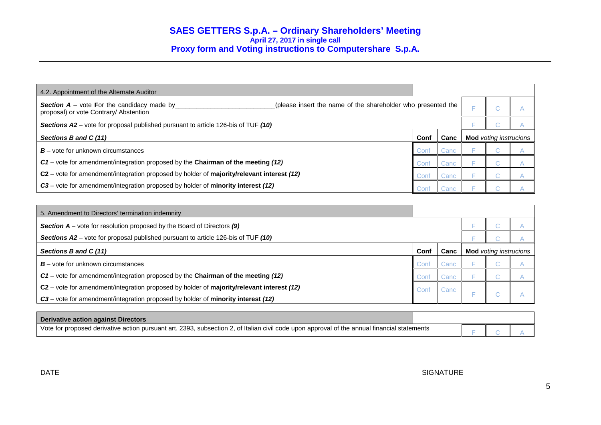| 4.2. Appointment of the Alternate Auditor                                                                                                                   |      |      |                               |  |
|-------------------------------------------------------------------------------------------------------------------------------------------------------------|------|------|-------------------------------|--|
| (please insert the name of the shareholder who presented the<br><b>Section A</b> – vote For the candidacy made by<br>proposal) or vote Contrary/ Abstention |      |      | $\sim$                        |  |
| Sections A2 – vote for proposal published pursuant to article 126-bis of TUF (10)                                                                           |      |      |                               |  |
| Sections B and C (11)                                                                                                                                       | Conf | Canc | <b>Mod</b> voting instrucions |  |
| $B$ – vote for unknown circumstances                                                                                                                        | Conf | Canc |                               |  |
| C1 - vote for amendment/integration proposed by the Chairman of the meeting (12)                                                                            | Conf | Canc |                               |  |
| C2 - vote for amendment/integration proposed by holder of majority/relevant interest (12)                                                                   | Conf | Canc |                               |  |
| C3 - vote for amendment/integration proposed by holder of minority interest (12)                                                                            |      | Canc |                               |  |

| 5. Amendment to Directors' termination indemnity                                           |      |      |                               |  |  |
|--------------------------------------------------------------------------------------------|------|------|-------------------------------|--|--|
| <b>Section <math>A</math></b> – vote for resolution proposed by the Board of Directors (9) |      |      |                               |  |  |
| Sections A2 – vote for proposal published pursuant to article 126-bis of TUF (10)          |      |      |                               |  |  |
| Sections B and C (11)                                                                      | Conf | Canc | <b>Mod</b> voting instrucions |  |  |
| $B$ – vote for unknown circumstances                                                       | Conf | Canc |                               |  |  |
| $C1$ – vote for amendment/integration proposed by the Chairman of the meeting (12)         | Conf | Canc |                               |  |  |
| C2 – vote for amendment/integration proposed by holder of majority/relevant interest (12)  | Conf | Canc |                               |  |  |
| C3 – vote for amendment/integration proposed by holder of minority interest (12)           |      |      | . a                           |  |  |

| Derivative action against Directors                                                                                                          |  |  |
|----------------------------------------------------------------------------------------------------------------------------------------------|--|--|
| Vote for proposed derivative action pursuant art. 2393, subsection 2, of Italian civil code upon approval of the annual financial statements |  |  |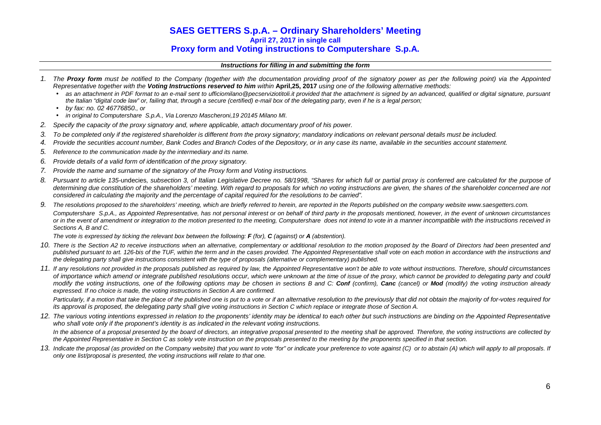# **SAES GETTERS S.p.A. – Ordinary Shareholders' Meeting April 27, 2017 in single call Proxy form and Voting instructions to Computershare S.p.A.**

### **Instructions for filling in and submitting the form**

- 1. The **Proxy form** must be notified to the Company (together with the documentation providing proof of the signatory power as per the following point) via the Appointed Representative together with the **Voting Instructions reserved to him** within **April,25, 2017** using one of the following alternative methods:
	- as an attachment in PDF format to an e-mail sent to ufficiomilano@pecserviziotitoli.it provided that the attachment is signed by an advanced, qualified or digital signature, pursuant the Italian "digital code law" or, failing that, through a secure (certified) e-mail box of the delegating party, even if he is a legal person;
	- by fax: no. 02 46776850., or
	- in original to Computershare S.p.A., Via Lorenzo Mascheroni,19 20145 Milano MI.
- 2. Specify the capacity of the proxy signatory and, where applicable, attach documentary proof of his power.
- 3. To be completed only if the registered shareholder is different from the proxy signatory; mandatory indications on relevant personal details must be included.
- 4. Provide the securities account number, Bank Codes and Branch Codes of the Depository, or in any case its name, available in the securities account statement.
- 5. Reference to the communication made by the intermediary and its name.
- 6. Provide details of a valid form of identification of the proxy signatory.
- 7. Provide the name and surname of the signatory of the Proxy form and Voting instructions.
- 8. Pursuant to article 135-undecies, subsection 3, of Italian Legislative Decree no. 58/1998, "Shares for which full or partial proxy is conferred are calculated for the purpose of determining due constitution of the shareholders' meeting. With regard to proposals for which no voting instructions are given, the shares of the shareholder concerned are not considered in calculating the majority and the percentage of capital required for the resolutions to be carried".
- 9. The resolutions proposed to the shareholders' meeting, which are briefly referred to herein, are reported in the Reports published on the company website www.saesgetters.com. Computershare S.p.A., as Appointed Representative, has not personal interest or on behalf of third party in the proposals mentioned, however, in the event of unknown circumstances or in the event of amendment or integration to the motion presented to the meeting, Computershare does not intend to vote in a manner incompatible with the instructions received in Sections A, B and C.

The vote is expressed by ticking the relevant box between the following: **F** (for), **C** (against) or **A** (abstention).

- 10. There is the Section A2 to receive instructions when an alternative, complementary or additional resolution to the motion proposed by the Board of Directors had been presented and published pursuant to art. 126-bis of the TUF, within the term and in the cases provided. The Appointed Representative shall vote on each motion in accordance with the instructions and the delegating party shall give instructions consistent with the type of proposals (alternative or complementary) published.
- 11. If any resolutions not provided in the proposals published as required by law, the Appointed Representative won't be able to vote without instructions. Therefore, should circumstances of importance which amend or integrate published resolutions occur, which were unknown at the time of issue of the proxy, which cannot be provided to delegating party and could modify the voting instructions, one of the following options may be chosen in sections B and C: **Conf** (confirm), **Canc** (cancel) or **Mod** (modify) the voting instruction already expressed. If no choice is made, the voting instructions in Section A are confirmed.

Particularly, if a motion that take the place of the published one is put to a vote or if an alternative resolution to the previously that did not obtain the majority of for-votes required for its approval is proposed, the delegating party shall give voting instructions in Section C which replace or integrate those of Section A.

12. The various voting intentions expressed in relation to the proponents' identity may be identical to each other but such instructions are binding on the Appointed Representative who shall vote only if the proponent's identity is as indicated in the relevant voting instructions.

In the absence of a proposal presented by the board of directors, an integrative proposal presented to the meeting shall be approved. Therefore, the voting instructions are collected by the Appointed Representative in Section C as solely vote instruction on the proposals presented to the meeting by the proponents specified in that section.

13. Indicate the proposal (as provided on the Company website) that you want to vote "for" or indicate your preference to vote against (C) or to abstain (A) which will apply to all proposals. If only one list/proposal is presented, the voting instructions will relate to that one.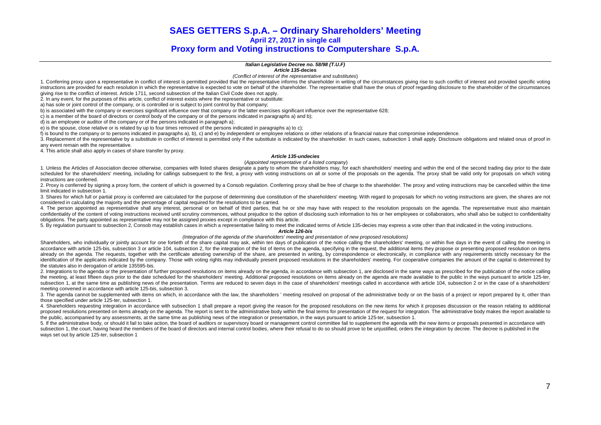## **SAES GETTERS S.p.A. – Ordinary Shareholders' Meeting April 27, 2017 in single call**

# **Proxy form and Voting instructions to Computershare S.p.A.**

**Italian Legislative Decree no. 58/98 (T.U.F)** 

**Article 135-decies**

(Conflict of interest of the representative and substitutes)

1. Conferring proxy upon a representative in conflict of interest is permitted provided that the representative informs the shareholder in writing of the circumstances giving rise to such conflict of interest and provided instructions are provided for each resolution in which the representative is expected to vote on behalf of the shareholder. The representative shall have the onus of proof regarding disclosure to the shareholder of the cir giving rise to the conflict of interest. Article 1711, second subsection of the Italian Civil Code does not apply.

2. In any event, for the purposes of this article, conflict of interest exists where the representative or substitute:

a) has sole or joint control of the company, or is controlled or is subject to joint control by that company;

b) is associated with the company or exercises significant influence over that company or the latter exercises significant influence over the representative 628;

c) is a member of the board of directors or control body of the company or of the persons indicated in paragraphs a) and b);

d) is an employee or auditor of the company or of the persons indicated in paragraph a);

e) is the spouse, close relative or is related by up to four times removed of the persons indicated in paragraphs a) to c);

f) is bound to the company or to persons indicated in paragraphs a), b), c) and e) by independent or employee relations or other relations of a financial nature that compromise independence.

3. Replacement of the representative by a substitute in conflict of interest is permitted only if the substitute is indicated by the shareholder. In such cases, subsection 1 shall apply. Disclosure obligations and related any event remain with the representative.

4. This article shall also apply in cases of share transfer by proxy.

#### **Article 135-undecies**

#### (Appointed representative of a listed company)

1. Unless the Articles of Association decree otherwise, companies with listed shares designate a party to whom the shareholders may, for each shareholders' meeting and within the end of the second trading day prior to the scheduled for the shareholders' meeting, including for callings subsequent to the first, a proxy with voting instructions on all or some of the proposals on the agenda. The proxy shall be valid only for proposals on which instructions are conferred.

2. Proxy is conferred by signing a proxy form, the content of which is governed by a Consob regulation. Conferring proxy shall be free of charge to the shareholder. The proxy and voting instructions may be cancelled within limit indicated in subsection 1.

3. Shares for which full or partial proxy is conferred are calculated for the purpose of determining due constitution of the shareholders' meeting. With regard to proposals for which no voting instructions are given, the s considered in calculating the majority and the percentage of capital required for the resolutions to be carried.

4. The person appointed as representative shall any interest, personal or on behalf of third parties, that he or she may have with respect to the resolution proposals on the agenda. The representative must also maintain confidentiality of the content of voting instructions received until scrutiny commences, without prejudice to the option of disclosing such information to his or her employees or collaborators, who shall also be subject to obligations. The party appointed as representative may not be assigned proxies except in compliance with this article.

5. By regulation pursuant to subsection 2, Consob may establish cases in which a representative failing to meet the indicated terms of Article 135-decies may express a vote other than that indicated in the voting instructi

#### **Article 126-bis**

#### (Integration of the agenda of the shareholders' meeting and presentation of new proposed resolutions)

Shareholders, who individually or jointly account for one fortieth of the share capital may ask, within ten days of publication of the notice calling the shareholders' meeting, or within five days in the event of calling t accordance with article 125-bis, subsection 3 or article 104, subsection 2, for the integration of the list of items on the agenda, specifying in the request, the additional items they propose or presenting proposed resolu already on the agenda. The requests, together with the certificate attesting ownership of the share, are presented in writing, by correspondence or electronically, in compliance with any requirements strictly necessary for identification of the applicants indicated by the company. Those with voting rights may individually present proposed resolutions in the shareholders' meeting. For cooperative companies the amount of the capital is determi the statutes also in derogation of article 135595-bis.

2. Integrations to the agenda or the presentation of further proposed resolutions on items already on the agenda, in accordance with subsection 1, are disclosed in the same ways as prescribed for the publication of the not the meeting, at least fifteen days prior to the date scheduled for the shareholders' meeting. Additional proposed resolutions on items already on the agenda are made available to the public in the ways pursuant to article subsection 1, at the same time as publishing news of the presentation. Terms are reduced to seven days in the case of shareholders' meetings called in accordance with article 104, subsection 2 or in the case of a sharehold meeting convened in accordance with article 125-bis, subsection 3.

3. The agenda cannot be supplemented with items on which, in accordance with the law, the shareholders ' meeting resolved on proposal of the administrative body or on the basis of a project or report prepared by it, other those specified under article 125-ter, subsection 1.

4. Shareholders requesting integration in accordance with subsection 1 shall prepare a report giving the reason for the proposed resolutions on the new items for which it proposes discussion or the reason relating to addit proposed resolutions presented on items already on the agenda. The report is sent to the administrative body within the final terms for presentation of the request for integration. The administrative body makes the report the public, accompanied by any assessments, at the same time as publishing news of the integration or presentation, in the ways pursuant to article 125-ter, subsection 1.

5. If the administrative body, or should it fail to take action, the board of auditors or supervisory board or management control committee fail to supplement the agenda with the new items or proposals presented in accorda subsection 1, the court, having heard the members of the board of directors and internal control bodies, where their refusal to do so should prove to be unjustified, orders the integration by decree. The decree is publishe ways set out by article 125-ter, subsection 1